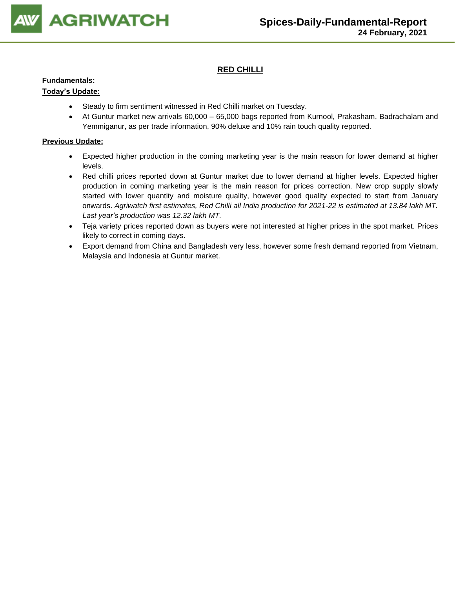

# **RED CHILLI**

#### **Fundamentals:**

### **Today's Update:**

- Steady to firm sentiment witnessed in Red Chilli market on Tuesday.
- At Guntur market new arrivals 60,000 65,000 bags reported from Kurnool, Prakasham, Badrachalam and Yemmiganur, as per trade information, 90% deluxe and 10% rain touch quality reported.

- Expected higher production in the coming marketing year is the main reason for lower demand at higher levels.
- Red chilli prices reported down at Guntur market due to lower demand at higher levels. Expected higher production in coming marketing year is the main reason for prices correction. New crop supply slowly started with lower quantity and moisture quality, however good quality expected to start from January onwards. *Agriwatch first estimates, Red Chilli all India production for 2021-22 is estimated at 13.84 lakh MT. Last year's production was 12.32 lakh MT.*
- Teja variety prices reported down as buyers were not interested at higher prices in the spot market. Prices likely to correct in coming days.
- Export demand from China and Bangladesh very less, however some fresh demand reported from Vietnam, Malaysia and Indonesia at Guntur market.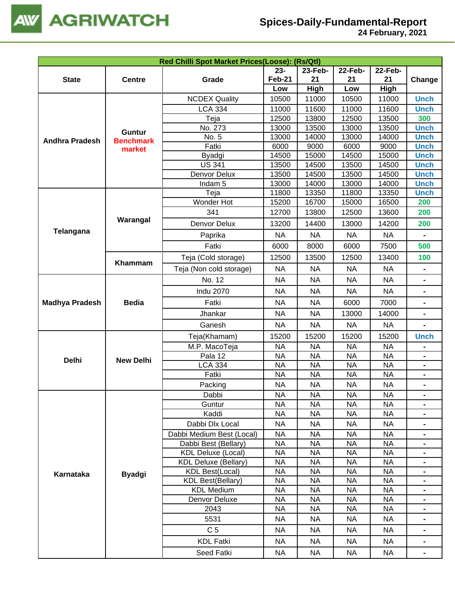

|                       |                  |                                                   | Red Chilli Spot Market Prices(Loose): (Rs/Qtl) |                        |                        |                        |                                  |  |  |  |  |
|-----------------------|------------------|---------------------------------------------------|------------------------------------------------|------------------------|------------------------|------------------------|----------------------------------|--|--|--|--|
|                       |                  |                                                   | $23 -$                                         | 23-Feb-                | 22-Feb-                | <b>22-Feb-</b>         |                                  |  |  |  |  |
| <b>State</b>          | <b>Centre</b>    | Grade                                             | <b>Feb-21</b>                                  | 21                     | 21                     | 21                     | Change                           |  |  |  |  |
|                       |                  |                                                   | Low                                            | High                   | Low                    | High                   |                                  |  |  |  |  |
|                       |                  | <b>NCDEX Quality</b>                              | 10500                                          | 11000                  | 10500                  | 11000                  | <b>Unch</b>                      |  |  |  |  |
|                       |                  | <b>LCA 334</b>                                    | 11000                                          | 11600                  | 11000                  | 11600                  | <b>Unch</b>                      |  |  |  |  |
|                       |                  | Teja                                              | 12500                                          | 13800                  | 12500                  | 13500                  | 300                              |  |  |  |  |
|                       | <b>Guntur</b>    | No. 273                                           | 13000                                          | 13500                  | 13000                  | 13500                  | <b>Unch</b>                      |  |  |  |  |
| <b>Andhra Pradesh</b> | <b>Benchmark</b> | No. 5                                             | 13000                                          | 14000                  | 13000                  | 14000                  | <b>Unch</b>                      |  |  |  |  |
|                       | market           | Fatki                                             | 6000                                           | 9000                   | 6000                   | 9000                   | <b>Unch</b>                      |  |  |  |  |
|                       |                  | Byadgi                                            | 14500                                          | 15000                  | 14500                  | 15000                  | <b>Unch</b>                      |  |  |  |  |
|                       |                  | <b>US 341</b>                                     | 13500                                          | 14500                  | 13500                  | 14500                  | <b>Unch</b>                      |  |  |  |  |
|                       |                  | Denvor Delux                                      | 13500                                          | 14500                  | 13500                  | 14500                  | <b>Unch</b>                      |  |  |  |  |
|                       |                  | Indam <sub>5</sub>                                | 13000                                          | 14000                  | 13000                  | 14000                  | <b>Unch</b>                      |  |  |  |  |
|                       |                  | Teja                                              | 11800                                          | 13350                  | 11800                  | 13350                  | <b>Unch</b>                      |  |  |  |  |
|                       |                  | Wonder Hot                                        | 15200                                          | 16700                  | 15000                  | 16500                  | 200                              |  |  |  |  |
|                       | Warangal         | 341                                               | 12700                                          | 13800                  | 12500                  | 13600                  | 200                              |  |  |  |  |
| <b>Telangana</b>      |                  | Denvor Delux                                      | 13200                                          | 14400                  | 13000                  | 14200                  | 200                              |  |  |  |  |
|                       |                  | Paprika                                           | <b>NA</b>                                      | <b>NA</b>              | <b>NA</b>              | <b>NA</b>              | $\blacksquare$                   |  |  |  |  |
|                       |                  | Fatki                                             | 6000                                           | 8000                   | 6000                   | 7500                   | 500                              |  |  |  |  |
|                       |                  | Teja (Cold storage)                               | 12500                                          | 13500                  | 12500                  | 13400                  | 100                              |  |  |  |  |
|                       | Khammam          | Teja (Non cold storage)                           | <b>NA</b>                                      | <b>NA</b>              | <b>NA</b>              | <b>NA</b>              |                                  |  |  |  |  |
|                       |                  | No. 12                                            | <b>NA</b>                                      | <b>NA</b>              | <b>NA</b>              | <b>NA</b>              | $\blacksquare$                   |  |  |  |  |
|                       |                  | <b>Indu 2070</b>                                  | <b>NA</b>                                      | <b>NA</b>              | <b>NA</b>              | <b>NA</b>              |                                  |  |  |  |  |
| <b>Madhya Pradesh</b> | <b>Bedia</b>     | Fatki                                             | <b>NA</b>                                      | <b>NA</b>              | 6000                   | 7000                   | $\blacksquare$                   |  |  |  |  |
|                       |                  |                                                   |                                                |                        |                        |                        |                                  |  |  |  |  |
|                       |                  | Jhankar<br>Ganesh                                 | <b>NA</b><br><b>NA</b>                         | <b>NA</b><br><b>NA</b> | 13000<br><b>NA</b>     | 14000<br><b>NA</b>     |                                  |  |  |  |  |
|                       |                  |                                                   |                                                |                        |                        |                        |                                  |  |  |  |  |
|                       |                  | Teja(Khamam)                                      | 15200                                          | 15200                  | 15200                  | 15200                  | <b>Unch</b>                      |  |  |  |  |
|                       |                  | M.P. MacoTeja                                     | <b>NA</b>                                      | <b>NA</b>              | <b>NA</b>              | <b>NA</b>              |                                  |  |  |  |  |
| <b>Delhi</b>          | <b>New Delhi</b> | Pala 12                                           | <b>NA</b>                                      | <b>NA</b>              | <b>NA</b>              | <b>NA</b>              |                                  |  |  |  |  |
|                       |                  | <b>LCA 334</b>                                    | <b>NA</b>                                      | <b>NA</b><br><b>NA</b> | <b>NA</b>              | <b>NA</b>              |                                  |  |  |  |  |
|                       |                  | Fatki                                             | <b>NA</b>                                      |                        | <b>NA</b>              | <b>NA</b>              |                                  |  |  |  |  |
|                       |                  | Packing                                           | <b>NA</b>                                      | <b>NA</b>              | <b>NA</b>              | <b>NA</b>              |                                  |  |  |  |  |
|                       |                  | Dabbi                                             | <b>NA</b>                                      | <b>NA</b>              | <b>NA</b>              | <b>NA</b>              | $\blacksquare$                   |  |  |  |  |
|                       |                  | Guntur<br>Kaddi                                   | <b>NA</b>                                      | <b>NA</b><br><b>NA</b> | <b>NA</b>              | <b>NA</b>              | $\blacksquare$                   |  |  |  |  |
|                       |                  |                                                   | <b>NA</b>                                      |                        | <b>NA</b>              | <b>NA</b>              | $\blacksquare$                   |  |  |  |  |
|                       |                  | Dabbi Dlx Local                                   | <b>NA</b>                                      | <b>NA</b>              | <b>NA</b>              | <b>NA</b>              |                                  |  |  |  |  |
|                       |                  | Dabbi Medium Best (Local)                         | <b>NA</b>                                      | <b>NA</b>              | <b>NA</b>              | <b>NA</b>              | ۰                                |  |  |  |  |
|                       |                  | Dabbi Best (Bellary)<br><b>KDL Deluxe (Local)</b> | <b>NA</b><br><b>NA</b>                         | <b>NA</b><br><b>NA</b> | <b>NA</b><br><b>NA</b> | <b>NA</b><br><b>NA</b> | $\blacksquare$                   |  |  |  |  |
|                       |                  | <b>KDL Deluxe (Bellary)</b>                       | <b>NA</b>                                      | <b>NA</b>              | <b>NA</b>              | <b>NA</b>              | $\blacksquare$<br>$\blacksquare$ |  |  |  |  |
|                       |                  | <b>KDL Best(Local)</b>                            | <b>NA</b>                                      | <b>NA</b>              | <b>NA</b>              | <b>NA</b>              | $\blacksquare$                   |  |  |  |  |
| Karnataka             | <b>Byadgi</b>    | <b>KDL Best(Bellary)</b>                          | <b>NA</b>                                      | <b>NA</b>              | <b>NA</b>              | <b>NA</b>              | $\blacksquare$                   |  |  |  |  |
|                       |                  | <b>KDL Medium</b>                                 | <b>NA</b>                                      | <b>NA</b>              | <b>NA</b>              | <b>NA</b>              |                                  |  |  |  |  |
|                       |                  | Denvor Deluxe                                     | <b>NA</b>                                      | <b>NA</b>              | <b>NA</b>              | <b>NA</b>              |                                  |  |  |  |  |
|                       |                  | 2043                                              | <b>NA</b>                                      | <b>NA</b>              | <b>NA</b>              | <b>NA</b>              |                                  |  |  |  |  |
|                       |                  | 5531                                              | <b>NA</b>                                      | <b>NA</b>              | <b>NA</b>              | <b>NA</b>              |                                  |  |  |  |  |
|                       |                  | C <sub>5</sub>                                    | <b>NA</b>                                      | <b>NA</b>              | <b>NA</b>              | <b>NA</b>              |                                  |  |  |  |  |
|                       |                  | <b>KDL Fatki</b>                                  | <b>NA</b>                                      | <b>NA</b>              | <b>NA</b>              | <b>NA</b>              | $\blacksquare$                   |  |  |  |  |
|                       |                  |                                                   |                                                |                        |                        |                        |                                  |  |  |  |  |
|                       |                  | Seed Fatki                                        | <b>NA</b>                                      | <b>NA</b>              | <b>NA</b>              | <b>NA</b>              | $\blacksquare$                   |  |  |  |  |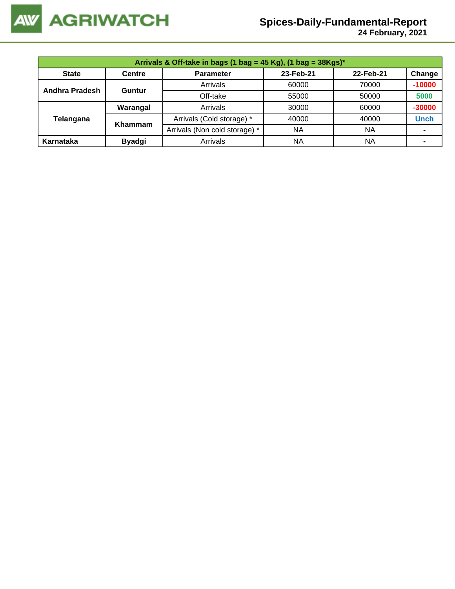

 **24 February, 2021**

|                | Arrivals & Off-take in bags (1 bag = 45 Kg), (1 bag = $38Kgs$ )* |                               |           |           |             |  |  |  |  |
|----------------|------------------------------------------------------------------|-------------------------------|-----------|-----------|-------------|--|--|--|--|
| <b>State</b>   | <b>Centre</b>                                                    | <b>Parameter</b>              | 23-Feb-21 | 22-Feb-21 | Change      |  |  |  |  |
| Andhra Pradesh | Guntur                                                           | Arrivals                      | 60000     | 70000     | $-10000$    |  |  |  |  |
|                |                                                                  | Off-take                      | 55000     | 50000     | 5000        |  |  |  |  |
|                | Warangal                                                         | Arrivals                      | 30000     | 60000     | $-30000$    |  |  |  |  |
| Telangana      | <b>Khammam</b>                                                   | Arrivals (Cold storage) *     | 40000     | 40000     | <b>Unch</b> |  |  |  |  |
|                |                                                                  | Arrivals (Non cold storage) * | <b>NA</b> | ΝA        |             |  |  |  |  |
| Karnataka      | <b>Byadgi</b>                                                    | Arrivals                      | <b>NA</b> | NA        |             |  |  |  |  |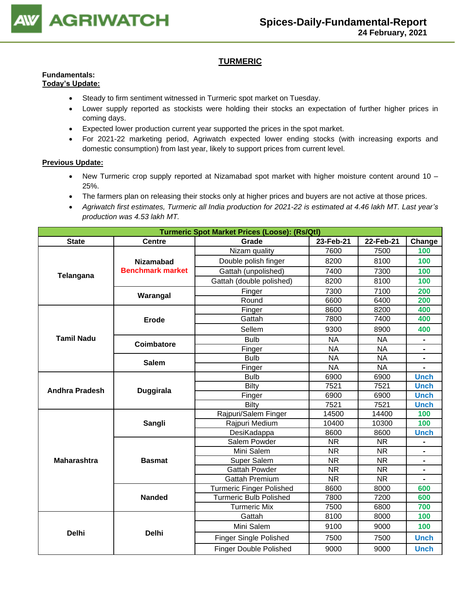

# **TURMERIC**

#### **Fundamentals: Today's Update:**

- Steady to firm sentiment witnessed in Turmeric spot market on Tuesday.
- Lower supply reported as stockists were holding their stocks an expectation of further higher prices in coming days.
- Expected lower production current year supported the prices in the spot market.
- For 2021-22 marketing period, Agriwatch expected lower ending stocks (with increasing exports and domestic consumption) from last year, likely to support prices from current level.

- New Turmeric crop supply reported at Nizamabad spot market with higher moisture content around 10 25%.
- The farmers plan on releasing their stocks only at higher prices and buyers are not active at those prices.
- *Agriwatch first estimates, Turmeric all India production for 2021-22 is estimated at 4.46 lakh MT. Last year's production was 4.53 lakh MT.*

| <b>Turmeric Spot Market Prices (Loose): (Rs/Qtl)</b><br>23-Feb-21<br>22-Feb-21 |                         |                                 |           |           |                |  |
|--------------------------------------------------------------------------------|-------------------------|---------------------------------|-----------|-----------|----------------|--|
| <b>State</b>                                                                   | <b>Centre</b>           | Grade                           |           |           | Change         |  |
|                                                                                |                         | Nizam quality                   | 7600      | 7500      | 100            |  |
|                                                                                | <b>Nizamabad</b>        | Double polish finger            | 8200      | 8100      | 100            |  |
| Telangana                                                                      | <b>Benchmark market</b> | Gattah (unpolished)             | 7400      | 7300      | 100            |  |
|                                                                                |                         | Gattah (double polished)        | 8200      | 8100      | 100            |  |
|                                                                                |                         | Finger                          | 7300      | 7100      | 200            |  |
|                                                                                | Warangal                | Round                           | 6600      | 6400      | 200            |  |
|                                                                                |                         | Finger                          | 8600      | 8200      | 400            |  |
|                                                                                | <b>Erode</b>            | Gattah                          | 7800      | 7400      | 400            |  |
|                                                                                |                         | Sellem                          | 9300      | 8900      | 400            |  |
| <b>Tamil Nadu</b>                                                              |                         | <b>Bulb</b>                     | <b>NA</b> | <b>NA</b> | $\blacksquare$ |  |
|                                                                                | Coimbatore              | Finger                          | <b>NA</b> | <b>NA</b> |                |  |
|                                                                                | <b>Salem</b>            | <b>Bulb</b>                     | <b>NA</b> | <b>NA</b> |                |  |
|                                                                                |                         | Finger                          | <b>NA</b> | <b>NA</b> |                |  |
|                                                                                |                         | <b>Bulb</b>                     | 6900      | 6900      | <b>Unch</b>    |  |
| <b>Andhra Pradesh</b>                                                          | Duggirala               | <b>Bilty</b>                    | 7521      | 7521      | <b>Unch</b>    |  |
|                                                                                |                         | Finger                          | 6900      | 6900      | <b>Unch</b>    |  |
|                                                                                |                         | Bilty                           | 7521      | 7521      | <b>Unch</b>    |  |
|                                                                                |                         | Rajpuri/Salem Finger            | 14500     | 14400     | 100            |  |
|                                                                                | Sangli                  | Rajpuri Medium                  | 10400     | 10300     | 100            |  |
|                                                                                |                         | DesiKadappa                     | 8600      | 8600      | <b>Unch</b>    |  |
|                                                                                |                         | Salem Powder                    | <b>NR</b> | <b>NR</b> |                |  |
|                                                                                |                         | Mini Salem                      | <b>NR</b> | <b>NR</b> | $\blacksquare$ |  |
| <b>Maharashtra</b>                                                             | <b>Basmat</b>           | Super Salem                     | <b>NR</b> | <b>NR</b> |                |  |
|                                                                                |                         | <b>Gattah Powder</b>            | <b>NR</b> | <b>NR</b> |                |  |
|                                                                                |                         | <b>Gattah Premium</b>           | <b>NR</b> | <b>NR</b> |                |  |
|                                                                                |                         | <b>Turmeric Finger Polished</b> | 8600      | 8000      | 600            |  |
|                                                                                | <b>Nanded</b>           | <b>Turmeric Bulb Polished</b>   | 7800      | 7200      | 600            |  |
|                                                                                |                         | <b>Turmeric Mix</b>             | 7500      | 6800      | 700            |  |
|                                                                                |                         | Gattah                          | 8100      | 8000      | 100            |  |
| <b>Delhi</b>                                                                   | <b>Delhi</b>            | Mini Salem                      | 9100      | 9000      | 100            |  |
|                                                                                |                         | <b>Finger Single Polished</b>   | 7500      | 7500      | <b>Unch</b>    |  |
|                                                                                |                         | <b>Finger Double Polished</b>   | 9000      | 9000      | <b>Unch</b>    |  |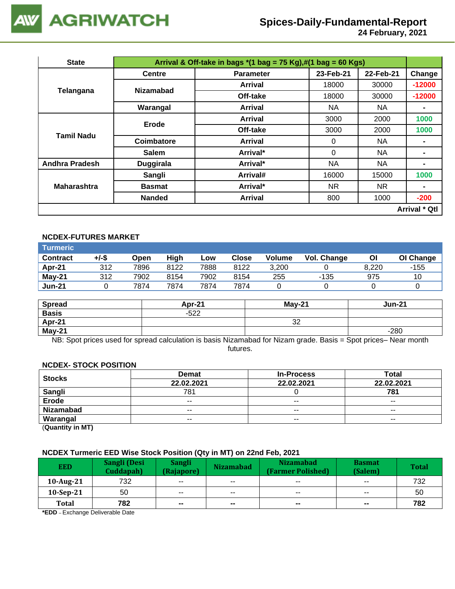

 **24 February, 2021**

| <b>State</b>          | Arrival & Off-take in bags $*(1 \text{ bag} = 75 \text{ Kg}),\#(1 \text{ bag} = 60 \text{ Kg})$ |                |           |           |                      |  |  |  |
|-----------------------|-------------------------------------------------------------------------------------------------|----------------|-----------|-----------|----------------------|--|--|--|
|                       | <b>Centre</b><br><b>Parameter</b>                                                               |                | 23-Feb-21 | 22-Feb-21 | Change               |  |  |  |
|                       | <b>Nizamabad</b>                                                                                | Arrival        | 18000     | 30000     | $-12000$             |  |  |  |
| Telangana             |                                                                                                 | Off-take       | 18000     | 30000     | $-12000$             |  |  |  |
|                       | Warangal                                                                                        | <b>Arrival</b> | NA.       | NA.       | ۰                    |  |  |  |
| <b>Tamil Nadu</b>     | Erode                                                                                           | Arrival        | 3000      | 2000      | 1000                 |  |  |  |
|                       |                                                                                                 | Off-take       | 3000      | 2000      | 1000                 |  |  |  |
|                       | Coimbatore                                                                                      | <b>Arrival</b> | $\Omega$  | NA.       |                      |  |  |  |
|                       | <b>Salem</b>                                                                                    | Arrival*       | 0         | NA        | ۰                    |  |  |  |
| <b>Andhra Pradesh</b> | <b>Duggirala</b>                                                                                | Arrival*       | <b>NA</b> | NA        | $\blacksquare$       |  |  |  |
|                       | Sangli                                                                                          | Arrival#       | 16000     | 15000     | 1000                 |  |  |  |
| <b>Maharashtra</b>    | <b>Basmat</b>                                                                                   | Arrival*       | <b>NR</b> | NR.       | ۰                    |  |  |  |
|                       | <b>Nanded</b>                                                                                   | <b>Arrival</b> | 800       | 1000      | $-200$               |  |  |  |
|                       |                                                                                                 |                |           |           | <b>Arrival * Qtl</b> |  |  |  |

# **NCDEX-FUTURES MARKET**

| \Turmeric <b>\</b> |       |      |      |      |       |               |             |       |           |
|--------------------|-------|------|------|------|-------|---------------|-------------|-------|-----------|
| <b>Contract</b>    | +/-\$ | Open | High | Low  | Close | <b>Volume</b> | Vol. Change | Οl    | OI Change |
| Apr-21             | 312   | 7896 | 8122 | 7888 | 8122  | 3.200         |             | 8.220 | -155      |
| $May-21$           | 312   | 7902 | 8154 | 7902 | 8154  | 255           | -135        | 975   | 10        |
| <b>Jun-21</b>      |       | 7874 | 7874 | 7874 | 7874  |               |             |       |           |

| <b>Spread</b> | Apr-21 | $Mav-21$ | Jun-21 |
|---------------|--------|----------|--------|
| <b>Basis</b>  | $-522$ |          |        |
| Apr-21        |        | ົ<br>ےت  |        |
| May-21        |        |          | $-280$ |

NB: Spot prices used for spread calculation is basis Nizamabad for Nizam grade. Basis = Spot prices– Near month futures.

#### **NCDEX- STOCK POSITION**

| <b>Stocks</b>                                                                                                                                                                                                                                                        | <b>Demat</b>                                            | <b>In-Process</b> | <b>Total</b> |
|----------------------------------------------------------------------------------------------------------------------------------------------------------------------------------------------------------------------------------------------------------------------|---------------------------------------------------------|-------------------|--------------|
|                                                                                                                                                                                                                                                                      | 22.02.2021<br>22.02.2021<br>781<br>$-$<br>$\sim$ $\sim$ |                   | 22.02.2021   |
| <b>Sangli</b>                                                                                                                                                                                                                                                        |                                                         |                   | 781          |
| Erode                                                                                                                                                                                                                                                                |                                                         |                   | $- -$        |
| <b>Nizamabad</b>                                                                                                                                                                                                                                                     | $- -$                                                   | $- -$             | $- -$        |
| Warangal                                                                                                                                                                                                                                                             | $- -$                                                   | $- -$             | $- -$        |
| $\mathbf{r} = \mathbf{r} \cdot \mathbf{r} = \mathbf{r} \cdot \mathbf{r} = \mathbf{r} \cdot \mathbf{r} \cdot \mathbf{r} = \mathbf{r} \cdot \mathbf{r} \cdot \mathbf{r} = \mathbf{r} \cdot \mathbf{r} \cdot \mathbf{r} = \mathbf{r} \cdot \mathbf{r} \cdot \mathbf{r}$ |                                                         |                   |              |

(**Quantity in MT)**

### **NCDEX Turmeric EED Wise Stock Position (Qty in MT) on 22nd Feb, 2021**

| <b>EED</b>  | Sangli (Desi<br>Cuddapah) | Sangli<br>(Rajapore)     | <b>Nizamabad</b>         | <b>Nizamabad</b><br>(Farmer Polished) | <b>Basmat</b><br>(Salem) | <b>Total</b> |
|-------------|---------------------------|--------------------------|--------------------------|---------------------------------------|--------------------------|--------------|
| 10-Aug-21   | 732                       | $- -$                    | $- -$                    | $- -$                                 | $- -$                    | 732          |
| $10-Sep-21$ | 50                        | $- -$                    | $- -$                    | $- -$                                 | $\sim$ $\sim$            | 50           |
| Total       | 782                       | $\overline{\phantom{a}}$ | $\overline{\phantom{a}}$ | $\sim$                                | $- -$                    | 782          |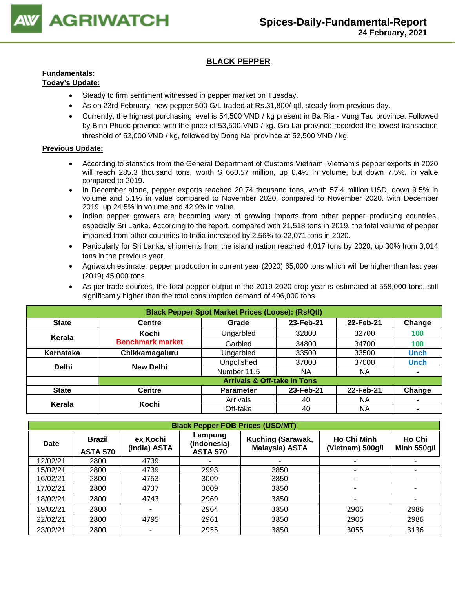

# **BLACK PEPPER**

#### **Fundamentals: Today's Update:**

- Steady to firm sentiment witnessed in pepper market on Tuesday.
	- As on 23rd February, new pepper 500 G/L traded at Rs.31,800/-qtl, steady from previous day.
	- Currently, the highest purchasing level is 54,500 VND / kg present in Ba Ria Vung Tau province. Followed by Binh Phuoc province with the price of 53,500 VND / kg. Gia Lai province recorded the lowest transaction threshold of 52,000 VND / kg, followed by Dong Nai province at 52,500 VND / kg.

- According to statistics from the General Department of Customs Vietnam, Vietnam's pepper exports in 2020 will reach 285.3 thousand tons, worth \$ 660.57 million, up 0.4% in volume, but down 7.5%. in value compared to 2019.
- In December alone, pepper exports reached 20.74 thousand tons, worth 57.4 million USD, down 9.5% in volume and 5.1% in value compared to November 2020, compared to November 2020. with December 2019, up 24.5% in volume and 42.9% in value.
- Indian pepper growers are becoming wary of growing imports from other pepper producing countries, especially Sri Lanka. According to the report, compared with 21,518 tons in 2019, the total volume of pepper imported from other countries to India increased by 2.56% to 22,071 tons in 2020.
- Particularly for Sri Lanka, shipments from the island nation reached 4,017 tons by 2020, up 30% from 3,014 tons in the previous year.
- Agriwatch estimate, pepper production in current year (2020) 65,000 tons which will be higher than last year (2019) 45,000 tons.
- As per trade sources, the total pepper output in the 2019-2020 crop year is estimated at 558,000 tons, still significantly higher than the total consumption demand of 496,000 tons.

| <b>Black Pepper Spot Market Prices (Loose): (Rs/Qtl)</b> |                         |                                        |           |           |                |  |  |
|----------------------------------------------------------|-------------------------|----------------------------------------|-----------|-----------|----------------|--|--|
| <b>State</b>                                             | <b>Centre</b>           | Grade                                  | 23-Feb-21 | 22-Feb-21 | Change         |  |  |
| Kerala                                                   | Kochi                   | Ungarbled                              | 32800     | 32700     | 100            |  |  |
|                                                          | <b>Benchmark market</b> | Garbled                                | 34800     | 34700     | 100            |  |  |
| Karnataka                                                | Chikkamagaluru          | Ungarbled                              | 33500     | 33500     | <b>Unch</b>    |  |  |
| <b>Delhi</b>                                             | <b>New Delhi</b>        | Unpolished                             | 37000     | 37000     | <b>Unch</b>    |  |  |
|                                                          |                         | Number 11.5                            | <b>NA</b> | <b>NA</b> | ۰              |  |  |
|                                                          |                         | <b>Arrivals &amp; Off-take in Tons</b> |           |           |                |  |  |
| <b>State</b>                                             | <b>Centre</b>           | <b>Parameter</b>                       | 23-Feb-21 | 22-Feb-21 | Change         |  |  |
|                                                          | Kochi                   | Arrivals                               | 40        | <b>NA</b> | $\blacksquare$ |  |  |
| Kerala                                                   |                         | Off-take                               | 40        | ΝA        | $\blacksquare$ |  |  |

|                                                 | <b>Black Pepper FOB Prices (USD/MT)</b> |                          |                                           |                                            |                                        |                              |  |  |  |  |
|-------------------------------------------------|-----------------------------------------|--------------------------|-------------------------------------------|--------------------------------------------|----------------------------------------|------------------------------|--|--|--|--|
| <b>Brazil</b><br><b>Date</b><br><b>ASTA 570</b> |                                         | ex Kochi<br>(India) ASTA | Lampung<br>(Indonesia)<br><b>ASTA 570</b> | Kuching (Sarawak,<br><b>Malaysia) ASTA</b> | <b>Ho Chi Minh</b><br>(Vietnam) 500g/l | Ho Chi<br><b>Minh 550g/l</b> |  |  |  |  |
| 12/02/21                                        | 2800                                    | 4739                     |                                           |                                            |                                        |                              |  |  |  |  |
| 15/02/21                                        | 2800                                    | 4739                     | 2993                                      | 3850                                       | ۰                                      |                              |  |  |  |  |
| 16/02/21                                        | 2800                                    | 4753                     | 3009                                      | 3850                                       | -                                      |                              |  |  |  |  |
| 17/02/21                                        | 2800                                    | 4737                     | 3009                                      | 3850                                       | $\overline{\phantom{a}}$               |                              |  |  |  |  |
| 18/02/21                                        | 2800                                    | 4743                     | 2969                                      | 3850                                       |                                        |                              |  |  |  |  |
| 19/02/21                                        | 2800                                    | $\overline{\phantom{0}}$ | 2964                                      | 3850                                       | 2905                                   | 2986                         |  |  |  |  |
| 22/02/21                                        | 2800                                    | 4795                     | 2961                                      | 3850                                       | 2905                                   | 2986                         |  |  |  |  |
| 23/02/21                                        | 2800                                    | $\overline{\phantom{0}}$ | 2955                                      | 3850                                       | 3055                                   | 3136                         |  |  |  |  |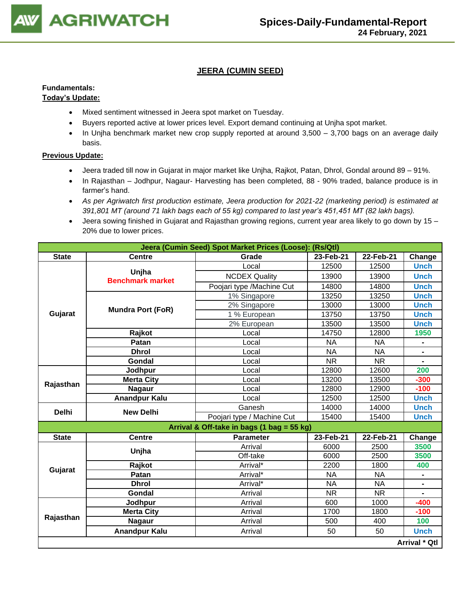

# **JEERA (CUMIN SEED)**

#### **Fundamentals: Today's Update:**

# • Mixed sentiment witnessed in Jeera spot market on Tuesday.

- Buyers reported active at lower prices level. Export demand continuing at Unjha spot market.
- In Unjha benchmark market new crop supply reported at around 3,500 3,700 bags on an average daily basis.

- Jeera traded till now in Gujarat in major market like Unjha, Rajkot, Patan, Dhrol, Gondal around 89 91%.
- In Rajasthan Jodhpur, Nagaur- Harvesting has been completed, 88 90% traded, balance produce is in farmer's hand.
- *As per Agriwatch first production estimate, Jeera production for 2021-22 (marketing period) is estimated at 391,801 MT (around 71 lakh bags each of 55 kg) compared to last year's 451,451 MT (82 lakh bags).*
- Jeera sowing finished in Gujarat and Rajasthan growing regions, current year area likely to go down by 15 20% due to lower prices.

|              |                                  | Jeera (Cumin Seed) Spot Market Prices (Loose): (Rs/Qtl) |           |                        |                |
|--------------|----------------------------------|---------------------------------------------------------|-----------|------------------------|----------------|
| <b>State</b> | <b>Centre</b>                    | Grade                                                   | 23-Feb-21 | 22-Feb-21              | Change         |
|              |                                  | Local                                                   | 12500     | 12500                  | <b>Unch</b>    |
|              | Unjha<br><b>Benchmark market</b> | <b>NCDEX Quality</b>                                    | 13900     | 13900                  | <b>Unch</b>    |
|              |                                  | Poojari type /Machine Cut                               | 14800     | 14800                  | <b>Unch</b>    |
|              |                                  | 1% Singapore                                            | 13250     | 13250                  | <b>Unch</b>    |
|              | <b>Mundra Port (FoR)</b>         | 2% Singapore                                            | 13000     | 13000                  | <b>Unch</b>    |
| Gujarat      |                                  | 1 % European                                            | 13750     | 13750                  | <b>Unch</b>    |
|              |                                  | 2% European                                             | 13500     | 13500                  | <b>Unch</b>    |
|              | Rajkot                           | Local                                                   | 14750     | 12800                  | 1950           |
|              | Patan                            | Local                                                   | <b>NA</b> | <b>NA</b>              |                |
|              | <b>Dhrol</b>                     | Local                                                   | <b>NA</b> | <b>NA</b>              |                |
|              | Gondal                           | Local                                                   | <b>NR</b> | $\overline{\text{NR}}$ |                |
| Rajasthan    | Jodhpur                          | Local                                                   | 12800     | 12600                  | 200            |
|              | <b>Merta City</b>                | Local                                                   | 13200     | 13500                  | $-300$         |
|              | <b>Nagaur</b>                    | Local                                                   | 12800     | 12900                  | $-100$         |
|              | <b>Anandpur Kalu</b>             | Local                                                   | 12500     | 12500                  | <b>Unch</b>    |
| <b>Delhi</b> | <b>New Delhi</b>                 | Ganesh                                                  | 14000     | 14000                  | <b>Unch</b>    |
|              |                                  | Poojari type / Machine Cut                              | 15400     | 15400                  | <b>Unch</b>    |
|              |                                  | Arrival & Off-take in bags (1 bag = 55 kg)              |           |                        |                |
| <b>State</b> | <b>Centre</b>                    | <b>Parameter</b>                                        | 23-Feb-21 | 22-Feb-21              | Change         |
|              | Unjha                            | Arrival                                                 | 6000      | 2500                   | 3500           |
|              |                                  | Off-take                                                | 6000      | 2500                   | 3500           |
| Gujarat      | Rajkot                           | Arrival*                                                | 2200      | 1800                   | 400            |
|              | Patan                            | Arrival*                                                | <b>NA</b> | <b>NA</b>              |                |
|              | <b>Dhrol</b>                     | Arrival*                                                | <b>NA</b> | <b>NA</b>              |                |
|              | Gondal                           | Arrival                                                 | <b>NR</b> | <b>NR</b>              | $\blacksquare$ |
|              | Jodhpur                          | Arrival                                                 | 600       | 1000                   | $-400$         |
|              | <b>Merta City</b>                | Arrival                                                 | 1700      | 1800                   | $-100$         |
| Rajasthan    | <b>Nagaur</b>                    | Arrival                                                 | 500       | 400                    | 100            |
|              | <b>Anandpur Kalu</b>             | Arrival                                                 | 50        | 50                     | <b>Unch</b>    |
|              |                                  |                                                         |           |                        | Arrival * Qtl  |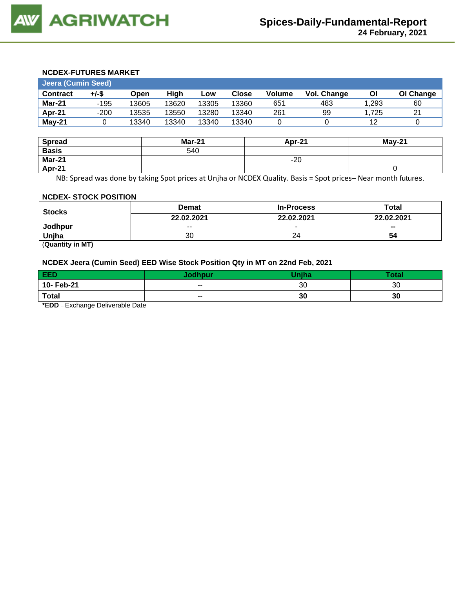#### **NCDEX-FUTURES MARKET**

| Jeera (Cumin Seed) |        |       |       |       |              |               |             |       |           |
|--------------------|--------|-------|-------|-------|--------------|---------------|-------------|-------|-----------|
| <b>Contract</b>    | +/-\$  | Open  | Hiah  | LOW   | <b>Close</b> | <b>Volume</b> | Vol. Change | ΟI    | OI Change |
| Mar-21             | -195   | 13605 | 13620 | 13305 | 13360        | 651           | 483         | 1,293 | 60        |
| Apr-21             | $-200$ | 13535 | 13550 | 13280 | 13340        | 261           | 99          | .725  | 21        |
| May-21             |        | 13340 | 13340 | 13340 | 13340        |               |             | 12    |           |

| <b>Spread</b> | <b>Mar-21</b> | Apr-21 | $May-21$ |
|---------------|---------------|--------|----------|
| <b>Basis</b>  | 540           |        |          |
| <b>Mar-21</b> |               | $-20$  |          |
| Apr-21        |               |        |          |

NB: Spread was done by taking Spot prices at Unjha or NCDEX Quality. Basis = Spot prices– Near month futures.

#### **NCDEX- STOCK POSITION**

| <b>Stocks</b>         | <b>Demat</b> | <b>In-Process</b> | Total      |  |
|-----------------------|--------------|-------------------|------------|--|
|                       | 22.02.2021   | 22.02.2021        | 22.02.2021 |  |
| Jodhpur               | $- -$        | $\sim$            | $- -$      |  |
| Uniha                 | 30           | 24                | 54         |  |
| $\sim$ $\sim$<br>____ |              |                   |            |  |

(**Quantity in MT)**

# **NCDEX Jeera (Cumin Seed) EED Wise Stock Position Qty in MT on 22nd Feb, 2021**

| EED          |       | $T_{\rm mB}$ | <b>Total</b> |
|--------------|-------|--------------|--------------|
| 10- Feb-21   | $- -$ | 30           | 30           |
| <b>Total</b> | $- -$ | 30           | 30           |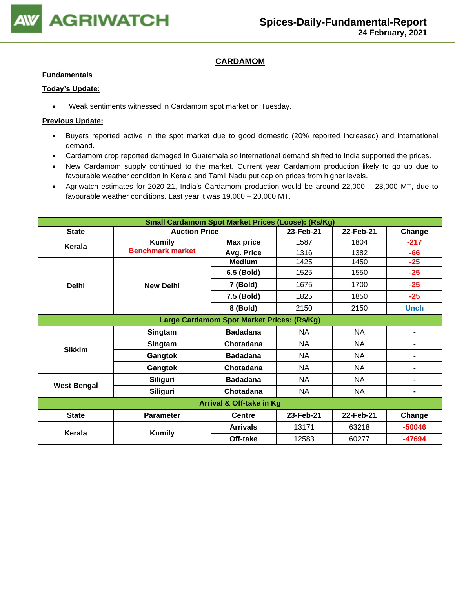

# **CARDAMOM**

#### **Fundamentals**

#### **Today's Update:**

• Weak sentiments witnessed in Cardamom spot market on Tuesday.

- Buyers reported active in the spot market due to good domestic (20% reported increased) and international demand.
- Cardamom crop reported damaged in Guatemala so international demand shifted to India supported the prices.
- New Cardamom supply continued to the market. Current year Cardamom production likely to go up due to favourable weather condition in Kerala and Tamil Nadu put cap on prices from higher levels.
- Agriwatch estimates for 2020-21, India's Cardamom production would be around 22,000 23,000 MT, due to favourable weather conditions. Last year it was 19,000 – 20,000 MT.

| <b>Small Cardamom Spot Market Prices (Loose): (Rs/Kg)</b> |                         |                                            |           |           |                |  |  |
|-----------------------------------------------------------|-------------------------|--------------------------------------------|-----------|-----------|----------------|--|--|
| <b>State</b>                                              | <b>Auction Price</b>    |                                            | 23-Feb-21 | 22-Feb-21 | Change         |  |  |
| Kerala                                                    | <b>Kumily</b>           | <b>Max price</b>                           | 1587      | 1804      | $-217$         |  |  |
|                                                           | <b>Benchmark market</b> | Avg. Price                                 | 1316      | 1382      | $-66$          |  |  |
|                                                           |                         | <b>Medium</b>                              | 1425      | 1450      | $-25$          |  |  |
|                                                           |                         | 6.5 (Bold)                                 | 1525      | 1550      | $-25$          |  |  |
| <b>Delhi</b>                                              | <b>New Delhi</b>        | 7 (Bold)                                   | 1675      | 1700      | $-25$          |  |  |
|                                                           |                         | 7.5 (Bold)                                 | 1825      | 1850      | $-25$          |  |  |
|                                                           |                         | 8 (Bold)                                   | 2150      | 2150      | <b>Unch</b>    |  |  |
|                                                           |                         | Large Cardamom Spot Market Prices: (Rs/Kg) |           |           |                |  |  |
|                                                           | Singtam                 | <b>Badadana</b>                            | NA        | <b>NA</b> |                |  |  |
| <b>Sikkim</b>                                             | Singtam                 | Chotadana                                  | <b>NA</b> | <b>NA</b> |                |  |  |
|                                                           | Gangtok                 | <b>Badadana</b>                            | NA        | NA.       | $\blacksquare$ |  |  |
|                                                           | Gangtok                 | Chotadana                                  | NA        | NA        |                |  |  |
| <b>West Bengal</b>                                        | Siliguri                | <b>Badadana</b>                            | NA        | NA        |                |  |  |
|                                                           | Siliguri                | Chotadana                                  | <b>NA</b> | <b>NA</b> |                |  |  |
| <b>Arrival &amp; Off-take in Kg</b>                       |                         |                                            |           |           |                |  |  |
| <b>State</b>                                              | <b>Parameter</b>        | <b>Centre</b>                              | 23-Feb-21 | 22-Feb-21 | Change         |  |  |
| Kerala                                                    | <b>Kumily</b>           | <b>Arrivals</b>                            | 13171     | 63218     | $-50046$       |  |  |
|                                                           |                         | Off-take                                   | 12583     | 60277     | -47694         |  |  |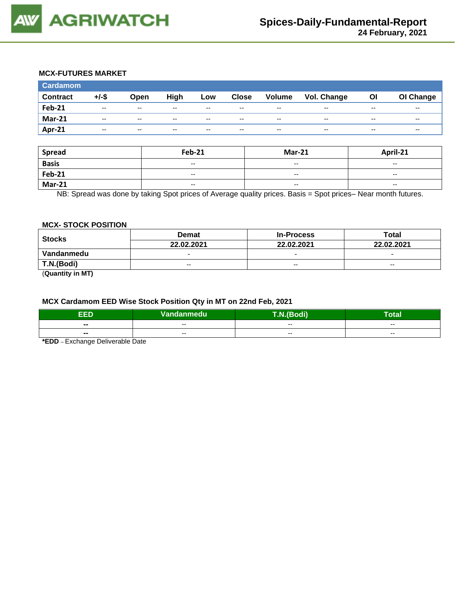# **MCX-FUTURES MARKET**

| <b>Cardamom</b> |       |                          |       |       |              |                          |             |       |           |
|-----------------|-------|--------------------------|-------|-------|--------------|--------------------------|-------------|-------|-----------|
| <b>Contract</b> | +/-\$ | Open                     | High  | Low   | <b>Close</b> | Volume                   | Vol. Change | OI    | OI Change |
| <b>Feb-21</b>   | $- -$ | $\overline{\phantom{a}}$ | $- -$ | $- -$ | $- -$        | $\overline{\phantom{a}}$ | --          | $- -$ | $- -$     |
| <b>Mar-21</b>   | $- -$ | $-$                      | $- -$ | $- -$ | $- -$        | $-$                      | $- -$       | $- -$ | --        |
| Apr-21          | $- -$ | $- -$                    | --    | $- -$ | $- -$        | $- -$                    | --          | $- -$ | --        |

| Spread        | <b>Feb-21</b>            | <b>Mar-21</b>            | April-21                 |
|---------------|--------------------------|--------------------------|--------------------------|
| <b>Basis</b>  | $\overline{\phantom{a}}$ | $\overline{\phantom{a}}$ | $\overline{\phantom{a}}$ |
| <b>Feb-21</b> | $\overline{\phantom{a}}$ | $-$                      | $\sim$ $\sim$            |
| <b>Mar-21</b> | $\overline{\phantom{a}}$ | $- -$                    | $- -$                    |

NB: Spread was done by taking Spot prices of Average quality prices. Basis = Spot prices– Near month futures.

#### **MCX- STOCK POSITION**

| <b>Stocks</b> | <b>Demat</b>             | <b>In-Process</b>        | Total                    |  |
|---------------|--------------------------|--------------------------|--------------------------|--|
|               | 22.02.2021               | 22.02.2021               | 22.02.2021               |  |
| Vandanmedu    | $\overline{\phantom{0}}$ | $\overline{\phantom{0}}$ | $\overline{\phantom{0}}$ |  |
| T.N.(Bodi)    | $- -$                    | $- -$                    | $- -$                    |  |
|               |                          |                          |                          |  |

(**Quantity in MT)**

#### **MCX Cardamom EED Wise Stock Position Qty in MT on 22nd Feb, 2021**

| EED.           | Vandanmedu <sup> </sup> | T.N.(Bodi) | <b>Take</b><br>'otal |  |  |  |  |
|----------------|-------------------------|------------|----------------------|--|--|--|--|
| $\blacksquare$ | $- -$                   | $- -$      | $- -$                |  |  |  |  |
| $\sim$         | $- -$                   | $- -$      | $- -$                |  |  |  |  |
| _  _           |                         |            |                      |  |  |  |  |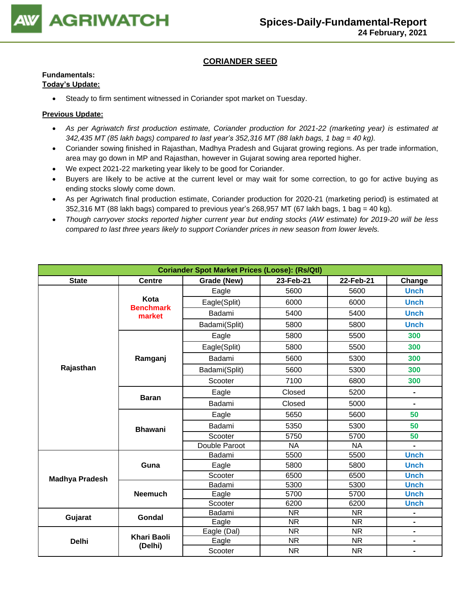

# **CORIANDER SEED**

# **Fundamentals:**

### **Today's Update:**

• Steady to firm sentiment witnessed in Coriander spot market on Tuesday.

- *As per Agriwatch first production estimate, Coriander production for 2021-22 (marketing year) is estimated at 342,435 MT (85 lakh bags) compared to last year's 352,316 MT (88 lakh bags, 1 bag = 40 kg).*
- Coriander sowing finished in Rajasthan, Madhya Pradesh and Gujarat growing regions. As per trade information, area may go down in MP and Rajasthan, however in Gujarat sowing area reported higher.
- We expect 2021-22 marketing year likely to be good for Coriander.
- Buyers are likely to be active at the current level or may wait for some correction, to go for active buying as ending stocks slowly come down.
- As per Agriwatch final production estimate, Coriander production for 2020-21 (marketing period) is estimated at  $352,316$  MT (88 lakh bags) compared to previous year's 268,957 MT (67 lakh bags, 1 bag = 40 kg).
- *Though carryover stocks reported higher current year but ending stocks (AW estimate) for 2019-20 will be less compared to last three years likely to support Coriander prices in new season from lower levels.*

| <b>Coriander Spot Market Prices (Loose): (Rs/Qtl)</b> |                               |               |           |           |                |  |  |
|-------------------------------------------------------|-------------------------------|---------------|-----------|-----------|----------------|--|--|
| <b>State</b>                                          | <b>Centre</b>                 | Grade (New)   | 23-Feb-21 | 22-Feb-21 | Change         |  |  |
|                                                       |                               | Eagle         | 5600      | 5600      | <b>Unch</b>    |  |  |
|                                                       | Kota<br><b>Benchmark</b>      | Eagle(Split)  | 6000      | 6000      | <b>Unch</b>    |  |  |
|                                                       | market                        | Badami        | 5400      | 5400      | <b>Unch</b>    |  |  |
|                                                       |                               | Badami(Split) | 5800      | 5800      | <b>Unch</b>    |  |  |
|                                                       |                               | Eagle         | 5800      | 5500      | 300            |  |  |
|                                                       |                               | Eagle(Split)  | 5800      | 5500      | 300            |  |  |
|                                                       | Ramganj                       | Badami        | 5600      | 5300      | 300            |  |  |
| Rajasthan                                             |                               | Badami(Split) | 5600      | 5300      | 300            |  |  |
|                                                       |                               | Scooter       | 7100      | 6800      | 300            |  |  |
|                                                       |                               | Eagle         | Closed    | 5200      | $\blacksquare$ |  |  |
|                                                       | <b>Baran</b>                  | Badami        | Closed    | 5000      | $\blacksquare$ |  |  |
|                                                       | <b>Bhawani</b>                | Eagle         | 5650      | 5600      | 50             |  |  |
|                                                       |                               | Badami        | 5350      | 5300      | 50             |  |  |
|                                                       |                               | Scooter       | 5750      | 5700      | 50             |  |  |
|                                                       |                               | Double Paroot | <b>NA</b> | <b>NA</b> |                |  |  |
|                                                       |                               | Badami        | 5500      | 5500      | <b>Unch</b>    |  |  |
|                                                       | Guna                          | Eagle         | 5800      | 5800      | <b>Unch</b>    |  |  |
| <b>Madhya Pradesh</b>                                 |                               | Scooter       | 6500      | 6500      | <b>Unch</b>    |  |  |
|                                                       |                               | Badami        | 5300      | 5300      | <b>Unch</b>    |  |  |
|                                                       | <b>Neemuch</b>                | Eagle         | 5700      | 5700      | <b>Unch</b>    |  |  |
|                                                       |                               | Scooter       | 6200      | 6200      | <b>Unch</b>    |  |  |
| Gujarat                                               | Gondal                        | Badami        | <b>NR</b> | <b>NR</b> | -              |  |  |
|                                                       |                               | Eagle         | <b>NR</b> | <b>NR</b> | -              |  |  |
|                                                       |                               | Eagle (Dal)   | <b>NR</b> | <b>NR</b> | $\blacksquare$ |  |  |
| <b>Delhi</b>                                          | <b>Khari Baoli</b><br>(Delhi) | Eagle         | <b>NR</b> | <b>NR</b> | $\blacksquare$ |  |  |
|                                                       |                               | Scooter       | <b>NR</b> | <b>NR</b> |                |  |  |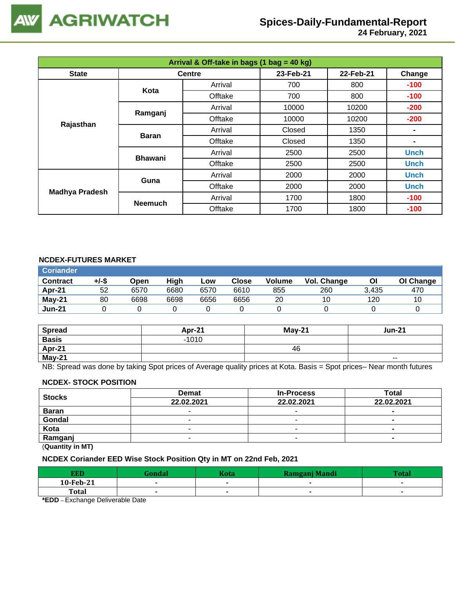

 **24 February, 2021**

| Arrival & Off-take in bags (1 bag = 40 kg) |                |               |           |           |             |  |  |
|--------------------------------------------|----------------|---------------|-----------|-----------|-------------|--|--|
| <b>State</b>                               |                | <b>Centre</b> | 23-Feb-21 | 22-Feb-21 | Change      |  |  |
|                                            | Kota           | Arrival       | 700       | 800       | $-100$      |  |  |
|                                            |                | Offtake       | 700       | 800       | $-100$      |  |  |
|                                            | Ramganj        | Arrival       | 10000     | 10200     | $-200$      |  |  |
| Rajasthan                                  |                | Offtake       | 10000     | 10200     | $-200$      |  |  |
|                                            | <b>Baran</b>   | Arrival       | Closed    | 1350      |             |  |  |
|                                            |                | Offtake       | Closed    | 1350      | ۰           |  |  |
|                                            | <b>Bhawani</b> | Arrival       | 2500      | 2500      | <b>Unch</b> |  |  |
|                                            |                | Offtake       | 2500      | 2500      | <b>Unch</b> |  |  |
|                                            | Guna           | Arrival       | 2000      | 2000      | <b>Unch</b> |  |  |
| <b>Madhya Pradesh</b>                      |                | Offtake       | 2000      | 2000      | <b>Unch</b> |  |  |
|                                            | <b>Neemuch</b> | Arrival       | 1700      | 1800      | $-100$      |  |  |
|                                            |                | Offtake       | 1700      | 1800      | $-100$      |  |  |

#### **NCDEX-FUTURES MARKET**

| <b>Coriander</b> |       |      |      |      |       |        |             |       |           |
|------------------|-------|------|------|------|-------|--------|-------------|-------|-----------|
| <b>Contract</b>  | +/-\$ | Open | High | Low  | Close | Volume | Vol. Change | ΟI    | OI Change |
| Apr-21           | 52    | 6570 | 6680 | 6570 | 6610  | 855    | 260         | 3.435 | 470       |
| May-21           | 80    | 6698 | 6698 | 6656 | 6656  | 20     | 10          | 120   | 10        |
| <b>Jun-21</b>    |       |      |      |      |       |        |             |       |           |

| <b>Spread</b> | Apr- $21$ | $M$ ay-21 | <b>Jun-21</b> |
|---------------|-----------|-----------|---------------|
| <b>Basis</b>  | $-1010$   |           |               |
| Apr-21        |           | 46        |               |
| May-21        |           |           | $- -$         |

NB: Spread was done by taking Spot prices of Average quality prices at Kota. Basis = Spot prices– Near month futures

#### **NCDEX- STOCK POSITION**

| <b>Stocks</b> | <b>Demat</b> | <b>In-Process</b>        | Total      |  |  |  |
|---------------|--------------|--------------------------|------------|--|--|--|
|               | 22.02.2021   | 22.02.2021               | 22.02.2021 |  |  |  |
| <b>Baran</b>  |              | -                        | -          |  |  |  |
| Gondal        |              |                          | $\sim$     |  |  |  |
| Kota          | -            |                          |            |  |  |  |
| Ramganj       |              | $\overline{\phantom{a}}$ |            |  |  |  |
| (0.0001)      |              |                          |            |  |  |  |

(**Quantity in MT)**

# **NCDEX Coriander EED Wise Stock Position Qty in MT on 22nd Feb, 2021**

| <b>EED</b>   | Gondal | Kota | Ramganj Mandi | <b>Total</b> |
|--------------|--------|------|---------------|--------------|
| 10-Feb-21    |        |      |               |              |
| <b>Total</b> |        |      |               |              |
|              |        |      |               |              |